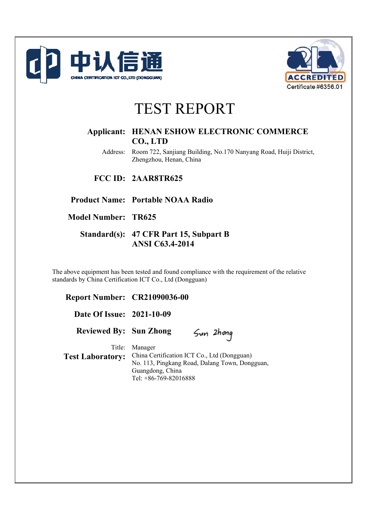



# TEST REPORT

# **Applicant: HENAN ESHOW ELECTRONIC COMMERCE CO., LTD**

Address: Room 722, Sanjiang Building, No.170 Nanyang Road, Huiji District, Zhengzhou, Henan, China

**FCC ID: 2AAR8TR625** 

**Product Name: Portable NOAA Radio** 

**Model Number: TR625** 

# **Standard(s): 47 CFR Part 15, Subpart B ANSI C63.4-2014**

The above equipment has been tested and found compliance with the requirement of the relative standards by China Certification ICT Co., Ltd (Dongguan)

**Report Number: CR21090036-00 Date Of Issue: 2021-10-09 Reviewed By: Sun Zhong**  Title: Manager **Test Laboratory:** China Certification ICT Co., Ltd (Dongguan) No. 113, Pingkang Road, Dalang Town, Dongguan, Guangdong, China Tel: +86-769-82016888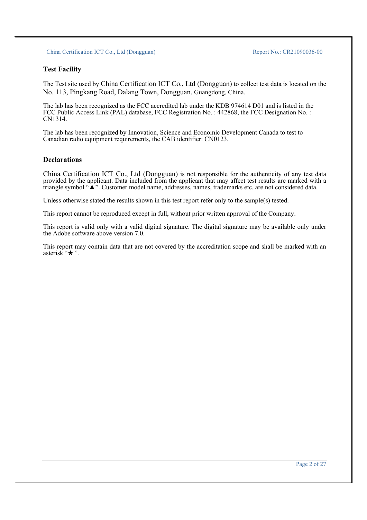#### **Test Facility**

The Test site used by China Certification ICT Co., Ltd (Dongguan) to collect test data is located on the No. 113, Pingkang Road, Dalang Town, Dongguan, Guangdong, China.

The lab has been recognized as the FCC accredited lab under the KDB 974614 D01 and is listed in the FCC Public Access Link (PAL) database, FCC Registration No. : 442868, the FCC Designation No. : CN1314.

The lab has been recognized by Innovation, Science and Economic Development Canada to test to Canadian radio equipment requirements, the CAB identifier: CN0123.

#### **Declarations**

China Certification ICT Co., Ltd (Dongguan) is not responsible for the authenticity of any test data provided by the applicant. Data included from the applicant that may affect test results are marked with a triangle symbol "▲". Customer model name, addresses, names, trademarks etc. are not considered data.

Unless otherwise stated the results shown in this test report refer only to the sample(s) tested.

This report cannot be reproduced except in full, without prior written approval of the Company.

This report is valid only with a valid digital signature. The digital signature may be available only under the Adobe software above version 7.0.

This report may contain data that are not covered by the accreditation scope and shall be marked with an asterisk " $\star$ ".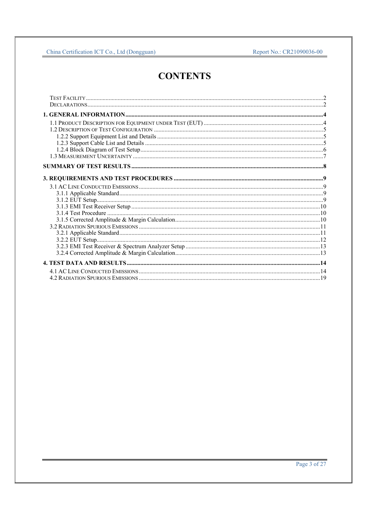# **CONTENTS**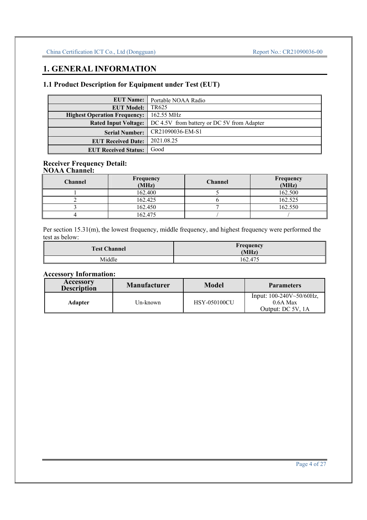# **1. GENERAL INFORMATION**

# **1.1 Product Description for Equipment under Test (EUT)**

| <b>EUT Name:</b>                    | Portable NOAA Radio                        |
|-------------------------------------|--------------------------------------------|
| <b>EUT Model:</b>                   | TR625                                      |
| <b>Highest Operation Frequency:</b> | 162.55 MHz                                 |
| <b>Rated Input Voltage:</b>         | DC 4.5V from battery or DC 5V from Adapter |
| <b>Serial Number:</b>               | CR21090036-EM-S1                           |
| <b>EUT Received Date:</b>           | 2021.08.25                                 |
| <b>EUT Received Status:</b>         | Good                                       |

#### **Receiver Frequency Detail: NOAA Channel:**

| <b>Channel</b> | Frequency<br>(MHz) | <b>Channel</b> | Frequency<br>(MHz) |
|----------------|--------------------|----------------|--------------------|
|                | 162.400            |                | 162.500            |
|                | 162.425            |                | 162.525            |
|                | 162.450            |                | 162.550            |
|                | 162.475            |                |                    |

Per section 15.31(m), the lowest frequency, middle frequency, and highest frequency were performed the test as below:

| <b>Test Channel</b> | Frequency<br>(MHz) |
|---------------------|--------------------|
| Middle              | 162.475            |

# **Accessory Information:**

| Accessory<br><b>Description</b> | <b>Manufacturer</b> | Model               | <b>Parameters</b>                                                    |
|---------------------------------|---------------------|---------------------|----------------------------------------------------------------------|
| Adapter                         | Un-known            | <b>HSY-050100CU</b> | Input: $100-240V \sim 50/60 Hz$ ,<br>$0.6A$ Max<br>Output: DC 5V, 1A |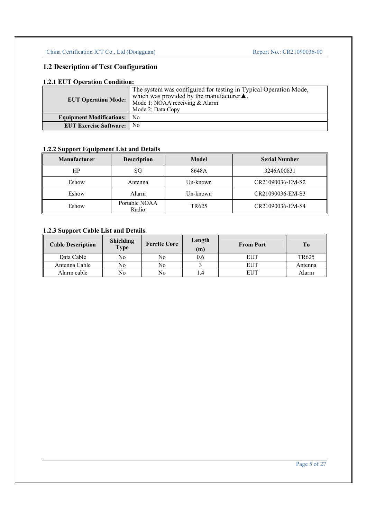# **1.2 Description of Test Configuration**

### **1.2.1 EUT Operation Condition:**

| <b>EUT Operation Mode:</b>         | The system was configured for testing in Typical Operation Mode,<br>which was provided by the manufacturer $\blacktriangle$ .<br>Mode 1: NOAA receiving & Alarm<br>Mode 2: Data Copy |
|------------------------------------|--------------------------------------------------------------------------------------------------------------------------------------------------------------------------------------|
| <b>Equipment Modifications:</b> No |                                                                                                                                                                                      |
| <b>EUT Exercise Software:</b>      | N <sub>0</sub>                                                                                                                                                                       |

# **1.2.2 Support Equipment List and Details**

| <b>Manufacturer</b> | <b>Description</b>     | Model    | <b>Serial Number</b> |
|---------------------|------------------------|----------|----------------------|
| HP                  | SG                     | 8648A    | 3246A00831           |
| Eshow               | Antenna                | Un-known | CR21090036-EM-S2     |
| Eshow               | Alarm                  | Un-known | CR21090036-EM-S3     |
| Eshow               | Portable NOAA<br>Radio | TR625    | CR21090036-EM-S4     |

# **1.2.3 Support Cable List and Details**

| <b>Cable Description</b> | <b>Shielding</b><br><b>Type</b> | <b>Ferrite Core</b> | Length<br>(m) | <b>From Port</b> | To      |
|--------------------------|---------------------------------|---------------------|---------------|------------------|---------|
| Data Cable               | No                              | No                  | 0.6           | <b>EUT</b>       | TR625   |
| Antenna Cable            | No                              | No                  |               | <b>EUT</b>       | Antenna |
| Alarm cable              | No                              | No                  |               | EUT              | Alarm   |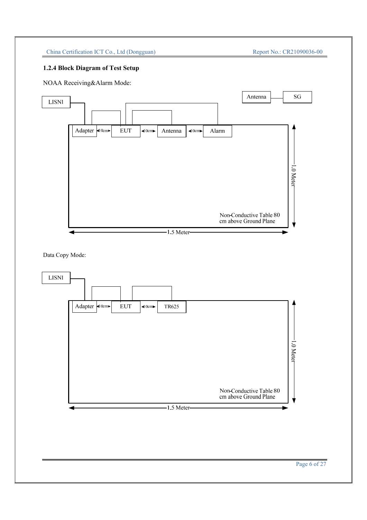# **1.2.4 Block Diagram of Test Setup**



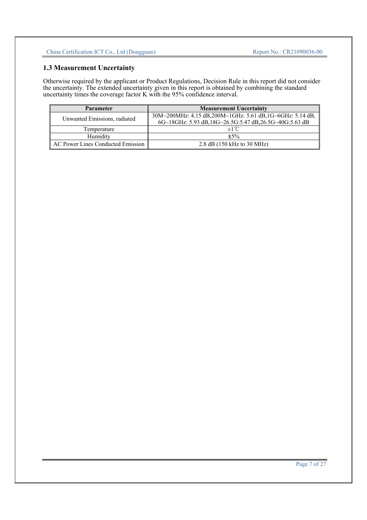# **1.3 Measurement Uncertainty**

Otherwise required by the applicant or Product Regulations, Decision Rule in this report did not consider the uncertainty. The extended uncertainty given in this report is obtained by combining the standard uncertainty times the coverage factor K with the 95% confidence interval.

| <b>Parameter</b>                  | <b>Measurement Uncertainty</b>                           |
|-----------------------------------|----------------------------------------------------------|
| Unwanted Emissions, radiated      | 30M~200MHz: 4.15 dB,200M~1GHz: 5.61 dB,1G~6GHz: 5.14 dB, |
|                                   | 6G~18GHz: 5.93 dB,18G~26.5G:5.47 dB,26.5G~40G:5.63 dB    |
| Temperature                       | $\pm 1^{\circ}$ C                                        |
| Humidity                          | $\pm$ 5%                                                 |
| AC Power Lines Conducted Emission | 2.8 dB $(150 \text{ kHz to } 30 \text{ MHz})$            |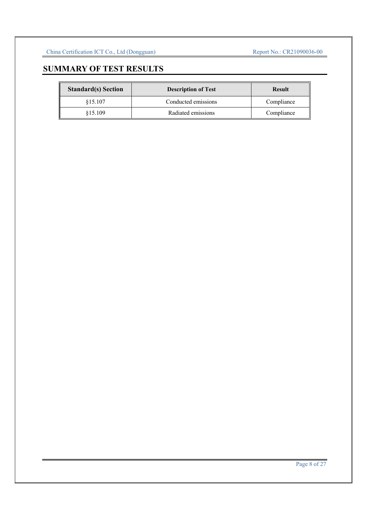# **SUMMARY OF TEST RESULTS**

| <b>Standard(s)</b> Section | <b>Description of Test</b> | <b>Result</b> |
|----------------------------|----------------------------|---------------|
| \$15.107                   | Conducted emissions        | Compliance    |
| \$15.109                   | Radiated emissions         | Compliance    |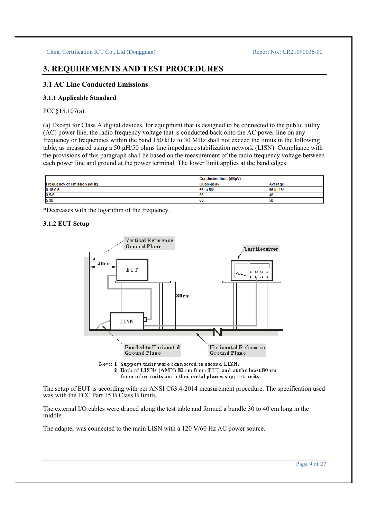# **3. REQUIREMENTS AND TEST PROCEDURES**

### **3.1 AC Line Conducted Emissions**

#### **3.1.1 Applicable Standard**

## FCC§15.107(a).

(a) Except for Class A digital devices, for equipment that is designed to be connected to the public utility (AC) power line, the radio frequency voltage that is conducted back onto the AC power line on any frequency or frequencies within the band 150 kHz to 30 MHz shall not exceed the limits in the following table, as measured using a 50 μH/50 ohms line impedance stabilization network (LISN). Compliance with the provisions of this paragraph shall be based on the measurement of the radio frequency voltage between each power line and ground at the power terminal. The lower limit applies at the band edges.

|                                    | Conducted limit (dBµV) |           |
|------------------------------------|------------------------|-----------|
| <b>Frequency of emission (MHz)</b> | Quasi-peak             | Average   |
| $0.15 - 0.5$                       | 66 to 56*              | 56 to 46* |
| $0.5 - 5$                          | 56                     | -46       |
| 5-30                               | 60                     | 50        |

\*Decreases with the logarithm of the frequency.

#### **3.1.2 EUT Setup**



from other units and other metal planes support units.

The setup of EUT is according with per ANSI C63.4-2014 measurement procedure. The specification used was with the FCC Part 15 B Class B limits.

The external I/O cables were draped along the test table and formed a bundle 30 to 40 cm long in the middle.

The adapter was connected to the main LISN with a 120 V/60 Hz AC power source.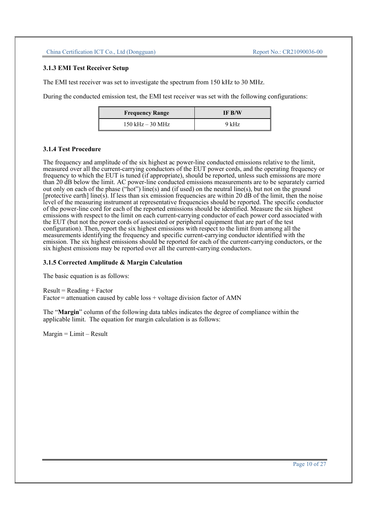#### **3.1.3 EMI Test Receiver Setup**

The EMI test receiver was set to investigate the spectrum from 150 kHz to 30 MHz.

During the conducted emission test, the EMI test receiver was set with the following configurations:

| <b>Frequency Range</b> | IF B/W  |
|------------------------|---------|
| $150$ kHz $-30$ MHz    | $9$ kHz |

#### **3.1.4 Test Procedure**

The frequency and amplitude of the six highest ac power-line conducted emissions relative to the limit, measured over all the current-carrying conductors of the EUT power cords, and the operating frequency or frequency to which the EUT is tuned (if appropriate), should be reported, unless such emissions are more than 20 dB below the limit. AC power-line conducted emissions measurements are to be separately carried out only on each of the phase ("hot") line(s) and (if used) on the neutral line(s), but not on the ground [protective earth] line(s). If less than six emission frequencies are within 20 dB of the limit, then the noise level of the measuring instrument at representative frequencies should be reported. The specific conductor of the power-line cord for each of the reported emissions should be identified. Measure the six highest emissions with respect to the limit on each current-carrying conductor of each power cord associated with the EUT (but not the power cords of associated or peripheral equipment that are part of the test configuration). Then, report the six highest emissions with respect to the limit from among all the measurements identifying the frequency and specific current-carrying conductor identified with the emission. The six highest emissions should be reported for each of the current-carrying conductors, or the six highest emissions may be reported over all the current-carrying conductors.

#### **3.1.5 Corrected Amplitude & Margin Calculation**

The basic equation is as follows:

 $Result = Reading + Factor$  $Factor =$  attenuation caused by cable loss  $+$  voltage division factor of AMN

The "**Margin**" column of the following data tables indicates the degree of compliance within the applicable limit. The equation for margin calculation is as follows:

 $Margin = Limit - Result$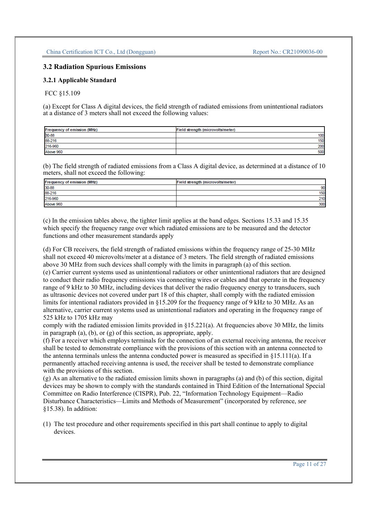## **3.2 Radiation Spurious Emissions**

#### **3.2.1 Applicable Standard**

#### FCC §15.109

(a) Except for Class A digital devices, the field strength of radiated emissions from unintentional radiators at a distance of 3 meters shall not exceed the following values:

| <b>Frequency of emission (MHz)</b> | Field strength (microvolts/meter) |
|------------------------------------|-----------------------------------|
| 30-88                              | 100                               |
| 88-216                             | 150                               |
| 216-960                            | 200                               |
| Above 960                          | 500                               |

(b) The field strength of radiated emissions from a Class A digital device, as determined at a distance of 10 meters, shall not exceed the following:

| Frequency of emission (MHz) | Field strength (microvolts/meter) |
|-----------------------------|-----------------------------------|
| 30-88                       | 90                                |
| 88-216                      | 150                               |
| 216-960                     | 210                               |
| Above 960                   | 300                               |

(c) In the emission tables above, the tighter limit applies at the band edges. Sections 15.33 and 15.35 which specify the frequency range over which radiated emissions are to be measured and the detector functions and other measurement standards apply

(d) For CB receivers, the field strength of radiated emissions within the frequency range of 25-30 MHz shall not exceed 40 microvolts/meter at a distance of 3 meters. The field strength of radiated emissions above 30 MHz from such devices shall comply with the limits in paragraph (a) of this section.

(e) Carrier current systems used as unintentional radiators or other unintentional radiators that are designed to conduct their radio frequency emissions via connecting wires or cables and that operate in the frequency range of 9 kHz to 30 MHz, including devices that deliver the radio frequency energy to transducers, such as ultrasonic devices not covered under part 18 of this chapter, shall comply with the radiated emission limits for intentional radiators provided in §15.209 for the frequency range of 9 kHz to 30 MHz. As an alternative, carrier current systems used as unintentional radiators and operating in the frequency range of 525 kHz to 1705 kHz may

comply with the radiated emission limits provided in §15.221(a). At frequencies above 30 MHz, the limits in paragraph (a), (b), or (g) of this section, as appropriate, apply.

(f) For a receiver which employs terminals for the connection of an external receiving antenna, the receiver shall be tested to demonstrate compliance with the provisions of this section with an antenna connected to the antenna terminals unless the antenna conducted power is measured as specified in  $\S15.111(a)$ . If a permanently attached receiving antenna is used, the receiver shall be tested to demonstrate compliance with the provisions of this section.

(g) As an alternative to the radiated emission limits shown in paragraphs (a) and (b) of this section, digital devices may be shown to comply with the standards contained in Third Edition of the International Special Committee on Radio Interference (CISPR), Pub. 22, "Information Technology Equipment—Radio Disturbance Characteristics—Limits and Methods of Measurement" (incorporated by reference, *see*  §15.38). In addition:

(1) The test procedure and other requirements specified in this part shall continue to apply to digital devices.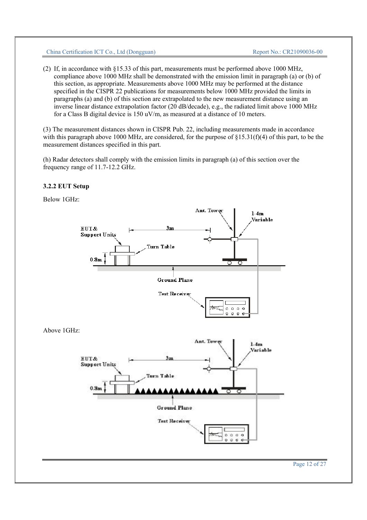(2) If, in accordance with §15.33 of this part, measurements must be performed above 1000 MHz, compliance above 1000 MHz shall be demonstrated with the emission limit in paragraph (a) or (b) of this section, as appropriate. Measurements above 1000 MHz may be performed at the distance specified in the CISPR 22 publications for measurements below 1000 MHz provided the limits in paragraphs (a) and (b) of this section are extrapolated to the new measurement distance using an inverse linear distance extrapolation factor (20 dB/decade), e.g., the radiated limit above 1000 MHz for a Class B digital device is 150 uV/m, as measured at a distance of 10 meters.

(3) The measurement distances shown in CISPR Pub. 22, including measurements made in accordance with this paragraph above 1000 MHz, are considered, for the purpose of  $\S15.31(f)(4)$  of this part, to be the measurement distances specified in this part.

(h) Radar detectors shall comply with the emission limits in paragraph (a) of this section over the frequency range of 11.7-12.2 GHz.

# **3.2.2 EUT Setup**

Below 1GHz:

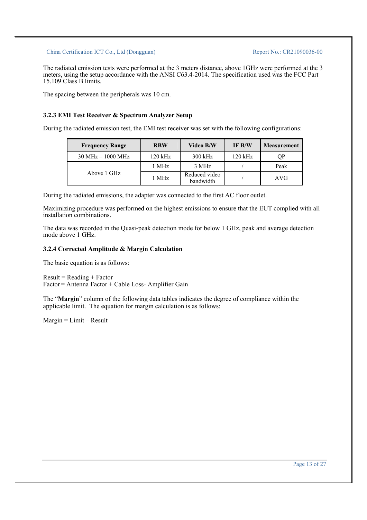The radiated emission tests were performed at the 3 meters distance, above 1GHz were performed at the 3 meters, using the setup accordance with the ANSI C63.4-2014. The specification used was the FCC Part 15.109 Class B limits.

The spacing between the peripherals was 10 cm.

#### **3.2.3 EMI Test Receiver & Spectrum Analyzer Setup**

During the radiated emission test, the EMI test receiver was set with the following configurations:

| <b>Frequency Range</b>              | <b>RBW</b> | Video B/W                  | IF B/W    | <b>Measurement</b> |
|-------------------------------------|------------|----------------------------|-----------|--------------------|
| $30 \text{ MHz} - 1000 \text{ MHz}$ | 120 kHz    | $300$ kHz                  | $120$ kHz | QP                 |
|                                     | 1 MHz      | 3 MHz                      |           | Peak               |
| Above 1 GHz                         | 1 MHz      | Reduced video<br>bandwidth |           | AVG                |

During the radiated emissions, the adapter was connected to the first AC floor outlet.

Maximizing procedure was performed on the highest emissions to ensure that the EUT complied with all installation combinations.

The data was recorded in the Quasi-peak detection mode for below 1 GHz, peak and average detection mode above 1 GHz.

#### **3.2.4 Corrected Amplitude & Margin Calculation**

The basic equation is as follows:

 $Result = Reading + Factor$ Factor = Antenna Factor + Cable Loss- Amplifier Gain

The "**Margin**" column of the following data tables indicates the degree of compliance within the applicable limit. The equation for margin calculation is as follows:

Margin = Limit – Result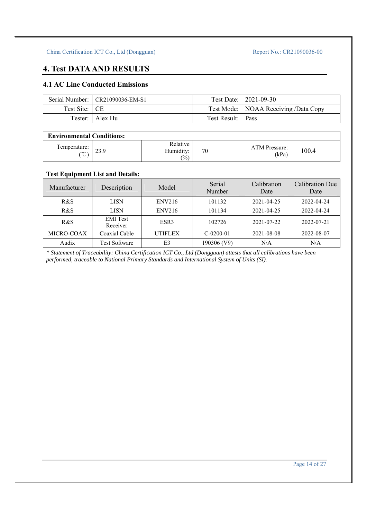# **4. Test DATA AND RESULTS**

# **4.1 AC Line Conducted Emissions**

|               | Serial Number:   CR21090036-EM-S1 |                   | Test Date:   2021-09-30                |
|---------------|-----------------------------------|-------------------|----------------------------------------|
| Test Site: CE |                                   |                   | Test Mode:   NOAA Receiving /Data Copy |
|               | Tester:   Alex Hu                 | Test Result: Pass |                                        |

| <b>Environmental Conditions:</b> |      |                                          |    |                        |       |
|----------------------------------|------|------------------------------------------|----|------------------------|-------|
| Temperature:<br>$\sim$           | 23.9 | Relative<br>Humiditv:<br>$\frac{(0)}{0}$ | 70 | ATM Pressure:<br>(kPa) | 100.4 |

# **Test Equipment List and Details:**

| Manufacturer | Description                 | Model            | Serial<br>Number | Calibration<br>Date | Calibration Due<br>Date |
|--------------|-----------------------------|------------------|------------------|---------------------|-------------------------|
| R&S          | <b>LISN</b>                 | ENV216           | 101132           | 2021-04-25          | 2022-04-24              |
| R&S          | <b>LISN</b>                 | ENV216           | 101134           | 2021-04-25          | 2022-04-24              |
| R&S          | <b>EMI</b> Test<br>Receiver | ESR <sub>3</sub> | 102726           | 2021-07-22          | 2022-07-21              |
| MICRO-COAX   | Coaxial Cable               | <b>UTIFLEX</b>   | $C-0200-01$      | 2021-08-08          | 2022-08-07              |
| Audix        | <b>Test Software</b>        | E <sub>3</sub>   | 190306 (V9)      | N/A                 | N/A                     |

*\* Statement of Traceability: China Certification ICT Co., Ltd (Dongguan) attests that all calibrations have been performed, traceable to National Primary Standards and International System of Units (SI).*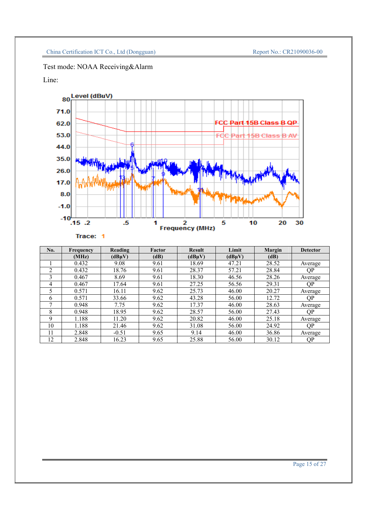# Test mode: NOAA Receiving&Alarm

# Line:



| No. | <b>Frequency</b> | Reading | Factor | <b>Result</b> | Limit  | <b>Margin</b> | <b>Detector</b> |
|-----|------------------|---------|--------|---------------|--------|---------------|-----------------|
|     | (MHz)            | (dBuV)  | (dB)   | (dBuV)        | (dBuV) | (dB)          |                 |
|     | 0.432            | 9.08    | 9.61   | 18.69         | 47.21  | 28.52         | Average         |
| ◠   | 0.432            | 18.76   | 9.61   | 28.37         | 57.21  | 28.84         | QP              |
| 3   | 0.467            | 8.69    | 9.61   | 18.30         | 46.56  | 28.26         | Average         |
| 4   | 0.467            | 17.64   | 9.61   | 27.25         | 56.56  | 29.31         | QP              |
|     | 0.571            | 16.11   | 9.62   | 25.73         | 46.00  | 20.27         | Average         |
| 6   | 0.571            | 33.66   | 9.62   | 43.28         | 56.00  | 12.72         | <b>OP</b>       |
|     | 0.948            | 7.75    | 9.62   | 17.37         | 46.00  | 28.63         | Average         |
| 8   | 0.948            | 18.95   | 9.62   | 28.57         | 56.00  | 27.43         | ОP              |
| 9   | 1.188            | 11.20   | 9.62   | 20.82         | 46.00  | 25.18         | Average         |
| 10  | 1.188            | 21.46   | 9.62   | 31.08         | 56.00  | 24.92         | QP              |
| 11  | 2.848            | $-0.51$ | 9.65   | 9.14          | 46.00  | 36.86         | Average         |
| 12  | 2.848            | 16.23   | 9.65   | 25.88         | 56.00  | 30.12         | ΟP              |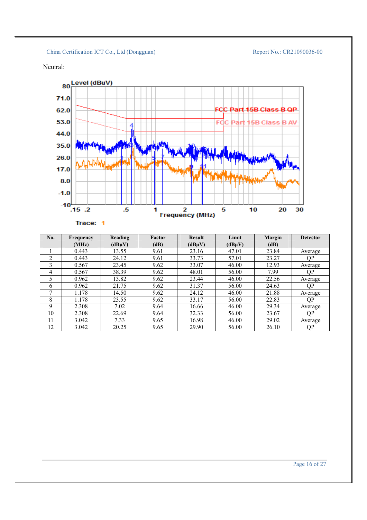Neutral:



| No. | <b>Frequency</b> | Reading | <b>Factor</b> | <b>Result</b> | Limit  | <b>Margin</b> | <b>Detector</b> |
|-----|------------------|---------|---------------|---------------|--------|---------------|-----------------|
|     | (MHz)            | (dBuV)  | (dB)          | $(dB\mu V)$   | (dBuV) | (dB)          |                 |
|     | 0.443            | 13.55   | 9.61          | 23.16         | 47.01  | 23.84         | Average         |
| ◠   | 0.443            | 24.12   | 9.61          | 33.73         | 57.01  | 23.27         | QP              |
| 3   | 0.567            | 23.45   | 9.62          | 33.07         | 46.00  | 12.93         | Average         |
| 4   | 0.567            | 38.39   | 9.62          | 48.01         | 56.00  | 7.99          | <b>OP</b>       |
|     | 0.962            | 13.82   | 9.62          | 23.44         | 46.00  | 22.56         | Average         |
| 6   | 0.962            | 21.75   | 9.62          | 31.37         | 56.00  | 24.63         | ΟP              |
|     | 1.178            | 14.50   | 9.62          | 24.12         | 46.00  | 21.88         | Average         |
| 8   | 1.178            | 23.55   | 9.62          | 33.17         | 56.00  | 22.83         | <b>OP</b>       |
| 9   | 2.308            | 7.02    | 9.64          | 16.66         | 46.00  | 29.34         | Average         |
| 10  | 2.308            | 22.69   | 9.64          | 32.33         | 56.00  | 23.67         | QP              |
| 11  | 3.042            | 7.33    | 9.65          | 16.98         | 46.00  | 29.02         | Average         |
| 12  | 3.042            | 20.25   | 9.65          | 29.90         | 56.00  | 26.10         | QP              |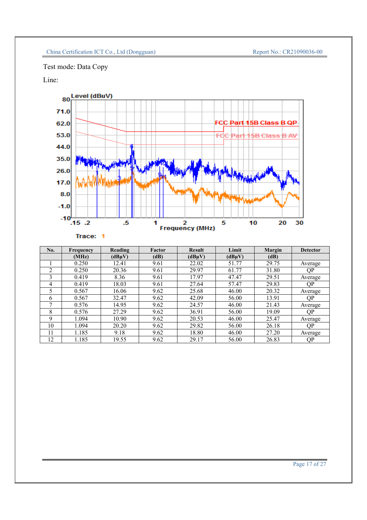Test mode: Data Copy

Line:



| No. | <b>Frequency</b> | Reading | Factor | <b>Result</b> | Limit  | <b>Margin</b> | <b>Detector</b> |
|-----|------------------|---------|--------|---------------|--------|---------------|-----------------|
|     | (MHz)            | (dBuV)  | (dB)   | (dBuV)        | (dBuV) | (dB)          |                 |
|     | 0.250            | 12.41   | 9.61   | 22.02         | 51.77  | 29.75         | Average         |
| ↑   | 0.250            | 20.36   | 9.61   | 29.97         | 61.77  | 31.80         | QP              |
| 3   | 0.419            | 8.36    | 9.61   | 17.97         | 47.47  | 29.51         | Average         |
| 4   | 0.419            | 18.03   | 9.61   | 27.64         | 57.47  | 29.83         | QP              |
|     | 0.567            | 16.06   | 9.62   | 25.68         | 46.00  | 20.32         | Average         |
| 6   | 0.567            | 32.47   | 9.62   | 42.09         | 56.00  | 13.91         | <b>OP</b>       |
| −   | 0.576            | 14.95   | 9.62   | 24.57         | 46.00  | 21.43         | Average         |
| 8   | 0.576            | 27.29   | 9.62   | 36.91         | 56.00  | 19.09         | ОP              |
| 9   | 1.094            | 10.90   | 9.62   | 20.53         | 46.00  | 25.47         | Average         |
| 10  | 1.094            | 20.20   | 9.62   | 29.82         | 56.00  | 26.18         | QP              |
| 11  | 1.185            | 9.18    | 9.62   | 18.80         | 46.00  | 27.20         | Average         |
| 12  | l.185            | 19.55   | 9.62   | 29.17         | 56.00  | 26.83         | <b>OP</b>       |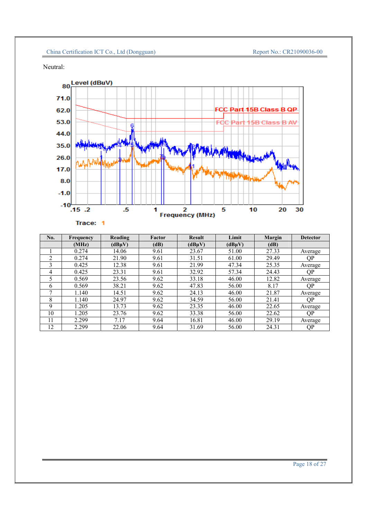Neutral:



# Trace: 1

| No. | <b>Frequency</b> | Reading | <b>Factor</b> | <b>Result</b> | Limit  | <b>Margin</b> | <b>Detector</b> |
|-----|------------------|---------|---------------|---------------|--------|---------------|-----------------|
|     | (MHz)            | (dBuV)  | (dB)          | $(dB\mu V)$   | (dBuV) | (dB)          |                 |
|     | 0.274            | 14.06   | 9.61          | 23.67         | 51.00  | 27.33         | Average         |
| ↑   | 0.274            | 21.90   | 9.61          | 31.51         | 61.00  | 29.49         | QP              |
| 3   | 0.425            | 12.38   | 9.61          | 21.99         | 47.34  | 25.35         | Average         |
| 4   | 0.425            | 23.31   | 9.61          | 32.92         | 57.34  | 24.43         | ΟP              |
| 5   | 0.569            | 23.56   | 9.62          | 33.18         | 46.00  | 12.82         | Average         |
| 6   | 0.569            | 38.21   | 9.62          | 47.83         | 56.00  | 8.17          | ΟP              |
|     | 1.140            | 14.51   | 9.62          | 24.13         | 46.00  | 21.87         | Average         |
| 8   | 1.140            | 24.97   | 9.62          | 34.59         | 56.00  | 21.41         | <b>OP</b>       |
| 9   | 1.205            | 13.73   | 9.62          | 23.35         | 46.00  | 22.65         | Average         |
| 10  | 1.205            | 23.76   | 9.62          | 33.38         | 56.00  | 22.62         | QP              |
| 11  | 2.299            | 7.17    | 9.64          | 16.81         | 46.00  | 29.19         | Average         |
| 12  | 2.299            | 22.06   | 9.64          | 31.69         | 56.00  | 24.31         | QP              |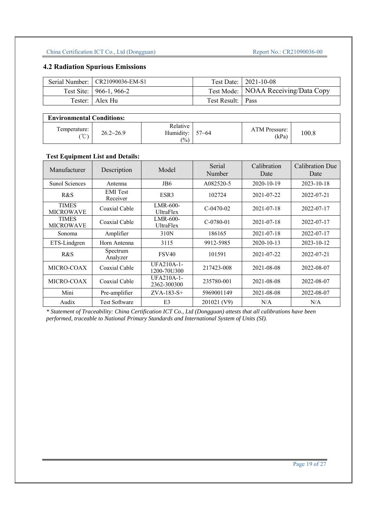# **4.2 Radiation Spurious Emissions**

| Serial Number:   CR21090036-EM-S1 |                   | Test Date:   2021-10-08               |
|-----------------------------------|-------------------|---------------------------------------|
| Test Site: 966-1, 966-2           |                   | Test Mode:   NOAA Receiving/Data Copy |
| Tester: Alex Hu                   | Test Result: Pass |                                       |

| <b>Environmental Conditions:</b>   |                    |                                          |           |                        |       |  |  |  |
|------------------------------------|--------------------|------------------------------------------|-----------|------------------------|-------|--|--|--|
| Temperature:<br>$\sim$<br>$\sim$ , | $26.2 \times 26.9$ | Relative<br>Humidity:<br>$\frac{(0)}{0}$ | $57 - 64$ | ATM Pressure:<br>(kPa) | 100.8 |  |  |  |

# **Test Equipment List and Details:**

| Manufacturer                     | Description                 | Model                            | Serial<br>Number | Calibration<br>Date | Calibration Due<br>Date |
|----------------------------------|-----------------------------|----------------------------------|------------------|---------------------|-------------------------|
| <b>Sunol Sciences</b>            | Antenna                     | JB6                              | A082520-5        | 2020-10-19          | 2023-10-18              |
| R&S                              | <b>EMI</b> Test<br>Receiver | ESR <sub>3</sub>                 | 102724           | 2021-07-22          | 2022-07-21              |
| <b>TIMES</b><br><b>MICROWAVE</b> | Coaxial Cable               | $LMR-600-$<br>UltraFlex          | $C-0470-02$      | 2021-07-18          | 2022-07-17              |
| <b>TIMES</b><br><b>MICROWAVE</b> | Coaxial Cable               | LMR-600-<br><b>UltraFlex</b>     | $C-0780-01$      | 2021-07-18          | 2022-07-17              |
| Sonoma                           | Amplifier                   | 310N                             | 186165           | 2021-07-18          | 2022-07-17              |
| ETS-Lindgren                     | Horn Antenna                | 3115                             | 9912-5985        | 2020-10-13          | 2023-10-12              |
| R&S                              | Spectrum<br>Analyzer        | <b>FSV40</b>                     | 101591           | 2021-07-22          | 2022-07-21              |
| MICRO-COAX                       | Coaxial Cable               | <b>UFA210A-1-</b><br>1200-70U300 | 217423-008       | 2021-08-08          | 2022-08-07              |
| MICRO-COAX                       | Coaxial Cable               | UFA210A-1-<br>2362-300300        | 235780-001       | 2021-08-08          | 2022-08-07              |
| Mini                             | Pre-amplifier               | $ZVA-183-S+$                     | 5969001149       | 2021-08-08          | 2022-08-07              |
| Audix                            | <b>Test Software</b>        | E <sub>3</sub>                   | 201021 (V9)      | N/A                 | N/A                     |

*\* Statement of Traceability: China Certification ICT Co., Ltd (Dongguan) attests that all calibrations have been performed, traceable to National Primary Standards and International System of Units (SI).*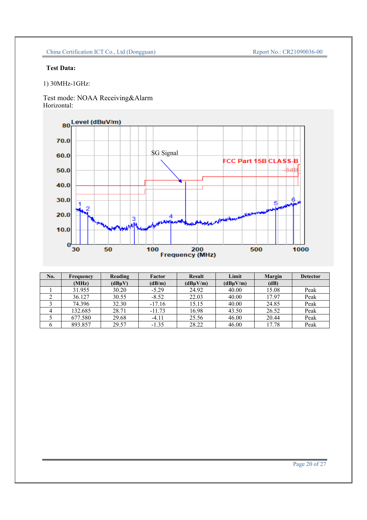# **Test Data:**

1) 30MHz-1GHz:

Test mode: NOAA Receiving&Alarm Horizontal:



| No. | Frequency | Reading     | Factor   | <b>Result</b> | Limit    | Margin | <b>Detector</b> |
|-----|-----------|-------------|----------|---------------|----------|--------|-----------------|
|     | (MHz)     | $(dB\mu V)$ | (dB/m)   | $(dB\mu V/m)$ | (dBuV/m) | (dB)   |                 |
|     | 31.955    | 30.20       | $-5.29$  | 24.92         | 40.00    | 15.08  | Peak            |
|     | 36.127    | 30.55       | $-8.52$  | 22.03         | 40.00    | 17.97  | Peak            |
|     | 74.396    | 32.30       | $-17.16$ | 15.15         | 40.00    | 24.85  | Peak            |
|     | 132.685   | 28.71       | $-11.73$ | 16.98         | 43.50    | 26.52  | Peak            |
|     | 677.580   | 29.68       | $-4.11$  | 25.56         | 46.00    | 20.44  | Peak            |
|     | 893.857   | 29.57       | $-1.35$  | 28.22         | 46.00    | 17.78  | Peak            |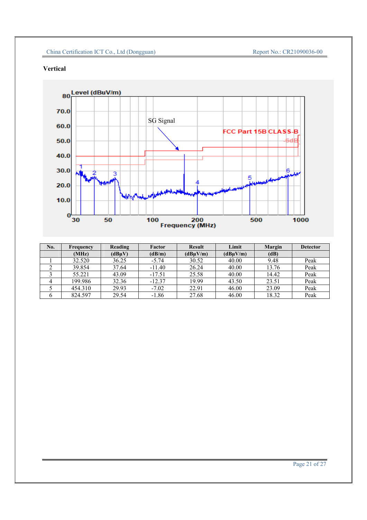# **Vertical**



| No. | Frequency | Reading | Factor   | <b>Result</b> | Limit    | <b>Margin</b> | <b>Detector</b> |
|-----|-----------|---------|----------|---------------|----------|---------------|-----------------|
|     | (MHz)     | (dBuV)  | (dB/m)   | (dBuV/m)      | (dBuV/m) | (dB)          |                 |
|     | 32.520    | 36.25   | $-5.74$  | 30.52         | 40.00    | 9.48          | Peak            |
|     | 39.854    | 37.64   | $-11.40$ | 26.24         | 40.00    | 13.76         | Peak            |
|     | 55.221    | 43.09   | $-17.51$ | 25.58         | 40.00    | 14.42         | Peak            |
|     | 199.986   | 32.36   | $-12.37$ | 19.99         | 43.50    | 23.51         | Peak            |
|     | 454.310   | 29.93   | $-7.02$  | 22.91         | 46.00    | 23.09         | Peak            |
|     | 824.597   | 29.54   | $-1.86$  | 27.68         | 46.00    | 18.32         | Peak            |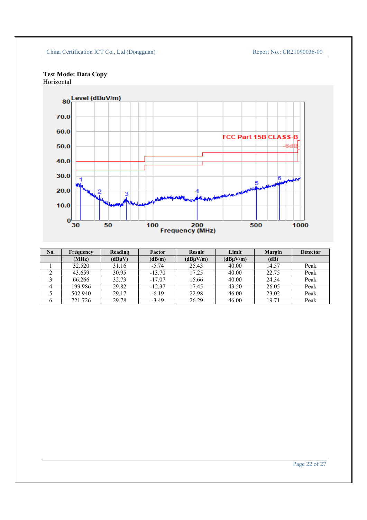#### **Test Mode: Data Copy** Horizontal



| No. | Frequency | Reading | Factor   | <b>Result</b> | Limit    | <b>Margin</b> | <b>Detector</b> |
|-----|-----------|---------|----------|---------------|----------|---------------|-----------------|
|     | (MHz)     | (dBuV)  | (dB/m)   | (dBuV/m)      | (dBuV/m) | (dB)          |                 |
|     | 32.520    | 31.16   | $-5.74$  | 25.43         | 40.00    | 14.57         | Peak            |
|     | 43.659    | 30.95   | $-13.70$ | 17.25         | 40.00    | 22.75         | Peak            |
|     | 66.266    | 32.73   | $-17.07$ | 15.66         | 40.00    | 24.34         | Peak            |
|     | 199.986   | 29.82   | $-12.37$ | 17.45         | 43.50    | 26.05         | Peak            |
|     | 502.940   | 29.17   | $-6.19$  | 22.98         | 46.00    | 23.02         | Peak            |
|     | 721.726   | 29.78   | $-3.49$  | 26.29         | 46.00    | 19.71         | Peak            |

#### Page 22 of 27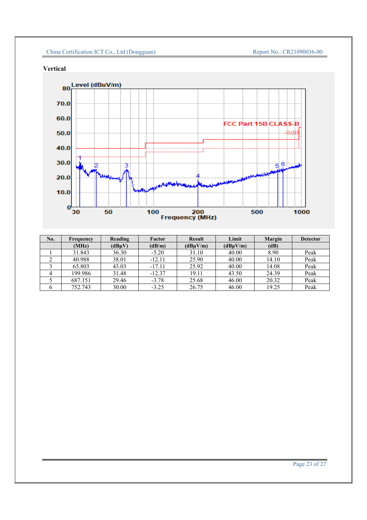

# **Vertical**



| No. | Frequency | Reading | Factor   | <b>Result</b> | Limit    | Margin | <b>Detector</b> |
|-----|-----------|---------|----------|---------------|----------|--------|-----------------|
|     | (MHz)     | (dBuV)  | (dB/m)   | (dBuV/m)      | (dBuV/m) | (dB)   |                 |
|     | 31.843    | 36.30   | $-5.20$  | 31.10         | 40.00    | 8.90   | Peak            |
|     | 40.988    | 38.01   | $-12.11$ | 25.90         | 40.00    | 14.10  | Peak            |
|     | 65.803    | 43.03   | $-17.11$ | 25.92         | 40.00    | 14.08  | Peak            |
|     | 199.986   | 31.48   | $-12.37$ | 19.11         | 43.50    | 24.39  | Peak            |
|     | 687.151   | 29.46   | $-3.78$  | 25.68         | 46.00    | 20.32  | Peak            |
|     | 752.743   | 30.00   | $-3.25$  | 26.75         | 46.00    | 19.25  | Peak            |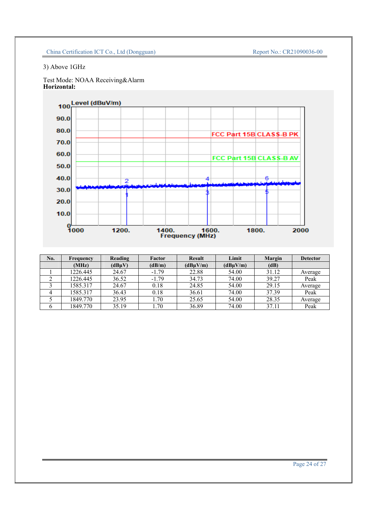# 3) Above 1GHz

Test Mode: NOAA Receiving&Alarm **Horizontal:**



| No. | Frequency | Reading     | Factor  | <b>Result</b> | Limit    | Margin | <b>Detector</b> |
|-----|-----------|-------------|---------|---------------|----------|--------|-----------------|
|     | (MHz)     | $(dB\mu V)$ | (dB/m)  | (dBuV/m)      | (dBuV/m) | (dB)   |                 |
|     | 1226.445  | 24.67       | $-1.79$ | 22.88         | 54.00    | 31.12  | Average         |
|     | 1226.445  | 36.52       | $-1.79$ | 34.73         | 74.00    | 39.27  | Peak            |
|     | 1585.317  | 24.67       | 0.18    | 24.85         | 54.00    | 29.15  | Average         |
|     | 1585.317  | 36.43       | 0.18    | 36.61         | 74.00    | 37.39  | Peak            |
|     | 1849.770  | 23.95       | 1.70    | 25.65         | 54.00    | 28.35  | Average         |
|     | 1849.770  | 35.19       | 1.70    | 36.89         | 74.00    | 37.11  | Peak            |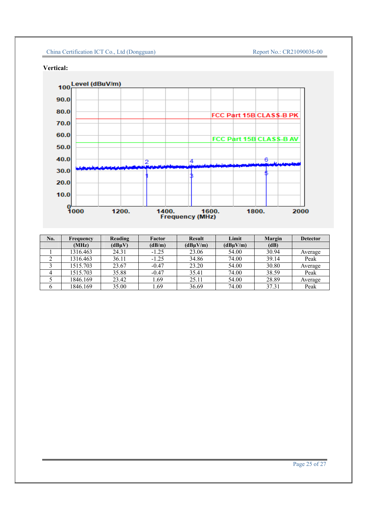**Vertical:**



| No. | Frequency | Reading | Factor  | <b>Result</b> | Limit    | Margin | <b>Detector</b> |
|-----|-----------|---------|---------|---------------|----------|--------|-----------------|
|     | (MHz)     | (dBuV)  | (dB/m)  | (dBuV/m)      | (dBuV/m) | (dB)   |                 |
|     | 1316.463  | 24.31   | $-1.25$ | 23.06         | 54.00    | 30.94  | Average         |
|     | 1316.463  | 36.11   | $-1.25$ | 34.86         | 74.00    | 39.14  | Peak            |
|     | 1515.703  | 23.67   | $-0.47$ | 23.20         | 54.00    | 30.80  | Average         |
|     | 1515.703  | 35.88   | $-0.47$ | 35.41         | 74.00    | 38.59  | Peak            |
|     | 1846.169  | 23.42   | 1.69    | 25.11         | 54.00    | 28.89  | Average         |
|     | 1846.169  | 35.00   | l.69    | 36.69         | 74.00    | 37.31  | Peak            |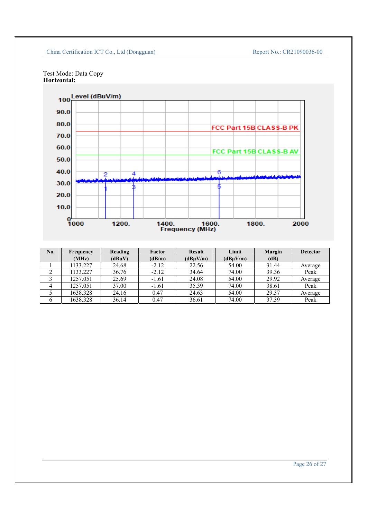



| No. | Frequency | Reading | Factor  | <b>Result</b> | Limit    | <b>Margin</b> | <b>Detector</b> |
|-----|-----------|---------|---------|---------------|----------|---------------|-----------------|
|     | (MHz)     | (dBuV)  | (dB/m)  | (dBuV/m)      | (dBuV/m) | (dB)          |                 |
|     | 1133.227  | 24.68   | $-2.12$ | 22.56         | 54.00    | 31.44         | Average         |
|     | 1133.227  | 36.76   | $-2.12$ | 34.64         | 74.00    | 39.36         | Peak            |
|     | 1257.051  | 25.69   | $-1.61$ | 24.08         | 54.00    | 29.92         | Average         |
|     | 1257.051  | 37.00   | $-1.61$ | 35.39         | 74.00    | 38.61         | Peak            |
|     | 1638.328  | 24.16   | 0.47    | 24.63         | 54.00    | 29.37         | Average         |
|     | 1638.328  | 36.14   | 0.47    | 36.61         | 74.00    | 37.39         | Peak            |